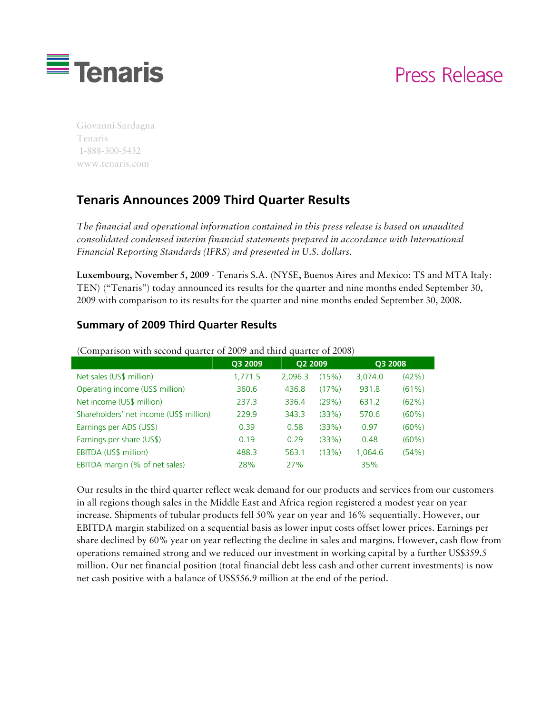

# Press Release

Giovanni Sardagna Tenaris 1-888-300-5432 www.tenaris.com

# **Tenaris Announces 2009 Third Quarter Results**

*The financial and operational information contained in this press release is based on unaudited consolidated condensed interim financial statements prepared in accordance with International Financial Reporting Standards (IFRS) and presented in U.S. dollars.* 

**Luxembourg, November 5, 2009** - Tenaris S.A. (NYSE, Buenos Aires and Mexico: TS and MTA Italy: TEN) ("Tenaris") today announced its results for the quarter and nine months ended September 30, 2009 with comparison to its results for the quarter and nine months ended September 30, 2008.

#### **Summary of 2009 Third Quarter Results**

|                                         | Q3 2009 | Q2 2009 |       | Q3 2008 |       |
|-----------------------------------------|---------|---------|-------|---------|-------|
| Net sales (US\$ million)                | 1,771.5 | 2.096.3 | (15%) | 3,074.0 | (42%) |
| Operating income (US\$ million)         | 360.6   | 436.8   | (17%) | 931.8   | (61%) |
| Net income (US\$ million)               | 237.3   | 336.4   | (29%) | 631.2   | (62%) |
| Shareholders' net income (US\$ million) | 2299    | 343.3   | (33%) | 570.6   | (60%) |
| Earnings per ADS (US\$)                 | 0.39    | 0.58    | (33%) | 0.97    | (60%) |
| Earnings per share (US\$)               | 0.19    | 0.29    | (33%) | 0.48    | (60%) |
| EBITDA (US\$ million)                   | 488.3   | 563.1   | (13%) | 1.064.6 | (54%) |
| EBITDA margin (% of net sales)          | 28%     | 27%     |       | 35%     |       |

(Comparison with second quarter of 2009 and third quarter of 2008)

Our results in the third quarter reflect weak demand for our products and services from our customers in all regions though sales in the Middle East and Africa region registered a modest year on year increase. Shipments of tubular products fell 50% year on year and 16% sequentially. However, our EBITDA margin stabilized on a sequential basis as lower input costs offset lower prices. Earnings per share declined by 60% year on year reflecting the decline in sales and margins. However, cash flow from operations remained strong and we reduced our investment in working capital by a further US\$359.5 million. Our net financial position (total financial debt less cash and other current investments) is now net cash positive with a balance of US\$556.9 million at the end of the period.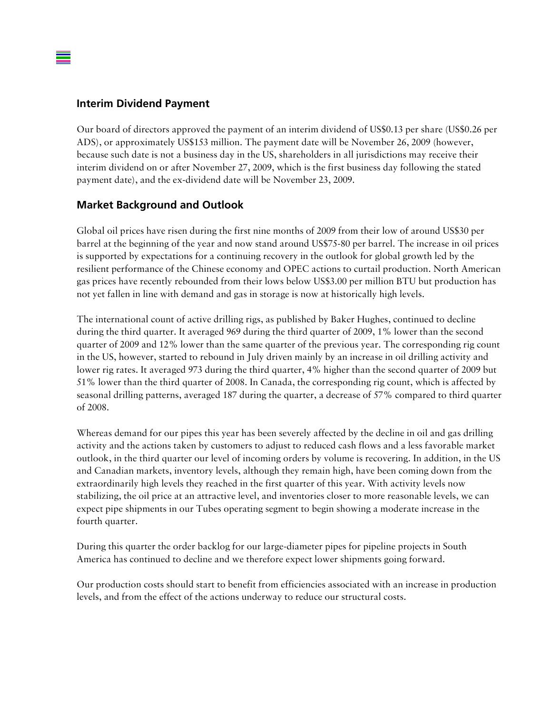#### **Interim Dividend Payment**

Our board of directors approved the payment of an interim dividend of US\$0.13 per share (US\$0.26 per ADS), or approximately US\$153 million. The payment date will be November 26, 2009 (however, because such date is not a business day in the US, shareholders in all jurisdictions may receive their interim dividend on or after November 27, 2009, which is the first business day following the stated payment date), and the ex-dividend date will be November 23, 2009.

#### **Market Background and Outlook**

Global oil prices have risen during the first nine months of 2009 from their low of around US\$30 per barrel at the beginning of the year and now stand around US\$75-80 per barrel. The increase in oil prices is supported by expectations for a continuing recovery in the outlook for global growth led by the resilient performance of the Chinese economy and OPEC actions to curtail production. North American gas prices have recently rebounded from their lows below US\$3.00 per million BTU but production has not yet fallen in line with demand and gas in storage is now at historically high levels.

The international count of active drilling rigs, as published by Baker Hughes, continued to decline during the third quarter. It averaged 969 during the third quarter of 2009, 1% lower than the second quarter of 2009 and 12% lower than the same quarter of the previous year. The corresponding rig count in the US, however, started to rebound in July driven mainly by an increase in oil drilling activity and lower rig rates. It averaged 973 during the third quarter, 4% higher than the second quarter of 2009 but 51% lower than the third quarter of 2008. In Canada, the corresponding rig count, which is affected by seasonal drilling patterns, averaged 187 during the quarter, a decrease of 57% compared to third quarter of 2008.

Whereas demand for our pipes this year has been severely affected by the decline in oil and gas drilling activity and the actions taken by customers to adjust to reduced cash flows and a less favorable market outlook, in the third quarter our level of incoming orders by volume is recovering. In addition, in the US and Canadian markets, inventory levels, although they remain high, have been coming down from the extraordinarily high levels they reached in the first quarter of this year. With activity levels now stabilizing, the oil price at an attractive level, and inventories closer to more reasonable levels, we can expect pipe shipments in our Tubes operating segment to begin showing a moderate increase in the fourth quarter.

During this quarter the order backlog for our large-diameter pipes for pipeline projects in South America has continued to decline and we therefore expect lower shipments going forward.

Our production costs should start to benefit from efficiencies associated with an increase in production levels, and from the effect of the actions underway to reduce our structural costs.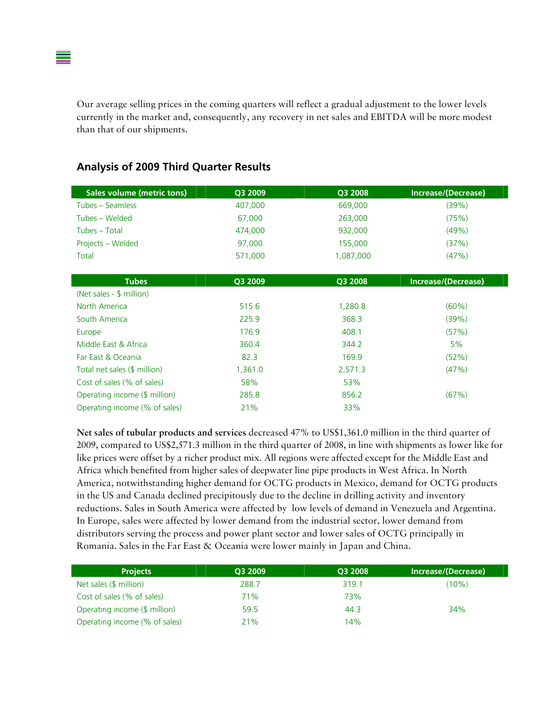Our average selling prices in the coming quarters will reflect a gradual adjustment to the lower levels currently in the market and, consequently, any recovery in net sales and EBITDA will be more modest than that of our shipments.

| <b>Sales volume (metric tons)</b> | Q3 2009 | Q3 2008   | Increase/(Decrease) |
|-----------------------------------|---------|-----------|---------------------|
| Tubes - Seamless                  | 407,000 | 669,000   | (39%)               |
| Tubes - Welded                    | 67,000  | 263,000   | (75%)               |
| Tubes – Total                     | 474,000 | 932,000   | (49%)               |
| Projects - Welded                 | 97,000  | 155,000   | (37%)               |
| <b>Total</b>                      | 571,000 | 1,087,000 | (47%)               |
|                                   |         |           |                     |
| <b>Tubes</b>                      | Q3 2009 | Q3 2008   | Increase/(Decrease) |
| (Net sales - \$ million)          |         |           |                     |
| North America                     | 515.6   | 1,280.8   | $(60\%)$            |
| South America                     | 225.9   | 368.3     | (39%)               |
| Europe                            | 176.9   | 408.1     | (57%)               |
| Middle East & Africa              | 360.4   | 344.2     | 5%                  |
| Far East & Oceania                | 82.3    | 169.9     | (52%)               |
| Total net sales (\$ million)      | 1,361.0 | 2,571.3   | (47%)               |
| Cost of sales (% of sales)        | 58%     | 53%       |                     |
| Operating income (\$ million)     | 285.8   | 856.2     | (67%)               |
| Operating income (% of sales)     | 21%     | 33%       |                     |

#### **Analysis of 2009 Third Quarter Results**

**Net sales of tubular products and services** decreased 47% to US\$1,361.0 million in the third quarter of 2009, compared to US\$2,571.3 million in the third quarter of 2008, in line with shipments as lower like for like prices were offset by a richer product mix. All regions were affected except for the Middle East and Africa which benefited from higher sales of deepwater line pipe products in West Africa. In North America, notwithstanding higher demand for OCTG products in Mexico, demand for OCTG products in the US and Canada declined precipitously due to the decline in drilling activity and inventory reductions. Sales in South America were affected by low levels of demand in Venezuela and Argentina. In Europe, sales were affected by lower demand from the industrial sector, lower demand from distributors serving the process and power plant sector and lower sales of OCTG principally in Romania. Sales in the Far East & Oceania were lower mainly in Japan and China.

| <b>Projects</b>               | O3 2009 | O3 2008 | Increase/(Decrease) |
|-------------------------------|---------|---------|---------------------|
| Net sales (\$ million)        | 288.7   | 319.1   | (10%)               |
| Cost of sales (% of sales)    | 71%     | 73%     |                     |
| Operating income (\$ million) | 59.5    | 44.3    | 34%                 |
| Operating income (% of sales) | 21%     | 14%     |                     |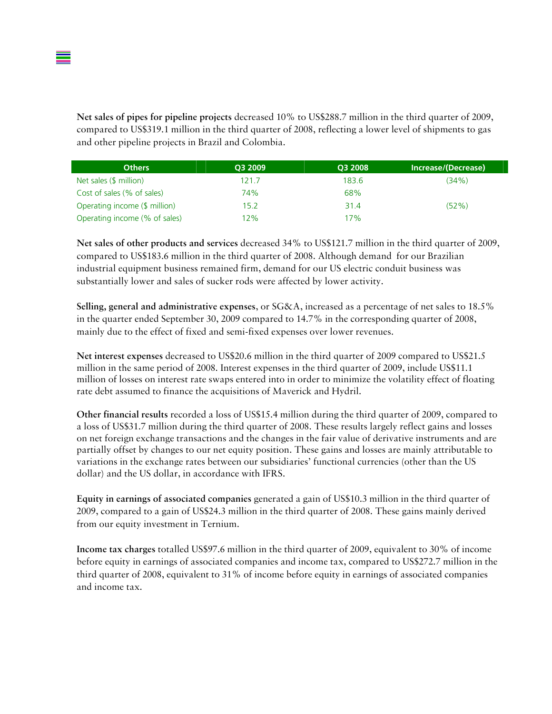**Net sales of pipes for pipeline projects** decreased 10% to US\$288.7 million in the third quarter of 2009, compared to US\$319.1 million in the third quarter of 2008, reflecting a lower level of shipments to gas and other pipeline projects in Brazil and Colombia.

| <b>Others</b>                 | O3 2009 | O3 2008 | Increase/(Decrease) |
|-------------------------------|---------|---------|---------------------|
| Net sales (\$ million)        | 121.7   | 183.6   | (34%)               |
| Cost of sales (% of sales)    | 74%     | 68%     |                     |
| Operating income (\$ million) | 15.2    | 31.4    | (52%)               |
| Operating income (% of sales) | 12%     | 17%     |                     |

**Net sales of other products and services** decreased 34% to US\$121.7 million in the third quarter of 2009, compared to US\$183.6 million in the third quarter of 2008. Although demand for our Brazilian industrial equipment business remained firm, demand for our US electric conduit business was substantially lower and sales of sucker rods were affected by lower activity.

**Selling, general and administrative expenses**, or SG&A, increased as a percentage of net sales to 18.5% in the quarter ended September 30, 2009 compared to 14.7% in the corresponding quarter of 2008, mainly due to the effect of fixed and semi-fixed expenses over lower revenues.

**Net interest expenses** decreased to US\$20.6 million in the third quarter of 2009 compared to US\$21.5 million in the same period of 2008. Interest expenses in the third quarter of 2009, include US\$11.1 million of losses on interest rate swaps entered into in order to minimize the volatility effect of floating rate debt assumed to finance the acquisitions of Maverick and Hydril.

**Other financial results** recorded a loss of US\$15.4 million during the third quarter of 2009, compared to a loss of US\$31.7 million during the third quarter of 2008. These results largely reflect gains and losses on net foreign exchange transactions and the changes in the fair value of derivative instruments and are partially offset by changes to our net equity position. These gains and losses are mainly attributable to variations in the exchange rates between our subsidiaries' functional currencies (other than the US dollar) and the US dollar, in accordance with IFRS.

**Equity in earnings of associated companies** generated a gain of US\$10.3 million in the third quarter of 2009, compared to a gain of US\$24.3 million in the third quarter of 2008. These gains mainly derived from our equity investment in Ternium.

**Income tax charges** totalled US\$97.6 million in the third quarter of 2009, equivalent to 30% of income before equity in earnings of associated companies and income tax, compared to US\$272.7 million in the third quarter of 2008, equivalent to 31% of income before equity in earnings of associated companies and income tax.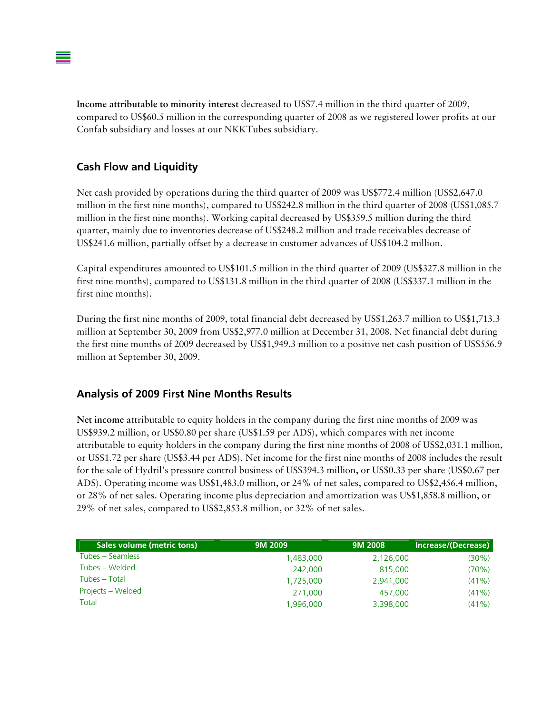**Income attributable to minority interest** decreased to US\$7.4 million in the third quarter of 2009, compared to US\$60.5 million in the corresponding quarter of 2008 as we registered lower profits at our Confab subsidiary and losses at our NKKTubes subsidiary.

#### **Cash Flow and Liquidity**

Net cash provided by operations during the third quarter of 2009 was US\$772.4 million (US\$2,647.0 million in the first nine months), compared to US\$242.8 million in the third quarter of 2008 (US\$1,085.7 million in the first nine months). Working capital decreased by US\$359.5 million during the third quarter, mainly due to inventories decrease of US\$248.2 million and trade receivables decrease of US\$241.6 million, partially offset by a decrease in customer advances of US\$104.2 million.

Capital expenditures amounted to US\$101.5 million in the third quarter of 2009 (US\$327.8 million in the first nine months), compared to US\$131.8 million in the third quarter of 2008 (US\$337.1 million in the first nine months).

During the first nine months of 2009, total financial debt decreased by US\$1,263.7 million to US\$1,713.3 million at September 30, 2009 from US\$2,977.0 million at December 31, 2008. Net financial debt during the first nine months of 2009 decreased by US\$1,949.3 million to a positive net cash position of US\$556.9 million at September 30, 2009.

#### **Analysis of 2009 First Nine Months Results**

**Net income** attributable to equity holders in the company during the first nine months of 2009 was US\$939.2 million, or US\$0.80 per share (US\$1.59 per ADS), which compares with net income attributable to equity holders in the company during the first nine months of 2008 of US\$2,031.1 million, or US\$1.72 per share (US\$3.44 per ADS). Net income for the first nine months of 2008 includes the result for the sale of Hydril's pressure control business of US\$394.3 million, or US\$0.33 per share (US\$0.67 per ADS). Operating income was US\$1,483.0 million, or 24% of net sales, compared to US\$2,456.4 million, or 28% of net sales. Operating income plus depreciation and amortization was US\$1,858.8 million, or 29% of net sales, compared to US\$2,853.8 million, or 32% of net sales.

| Sales volume (metric tons) | 9M 2009   | 9M 2008   | Increase/(Decrease) |
|----------------------------|-----------|-----------|---------------------|
| Tubes – Seamless           | 1,483,000 | 2,126,000 | (30%)               |
| Tubes – Welded             | 242,000   | 815,000   | (70%)               |
| Tubes - Total              | 1,725,000 | 2,941,000 | $(41\%)$            |
| Projects – Welded          | 271,000   | 457,000   | $(41\%)$            |
| Total                      | 1,996,000 | 3,398,000 | (41% )              |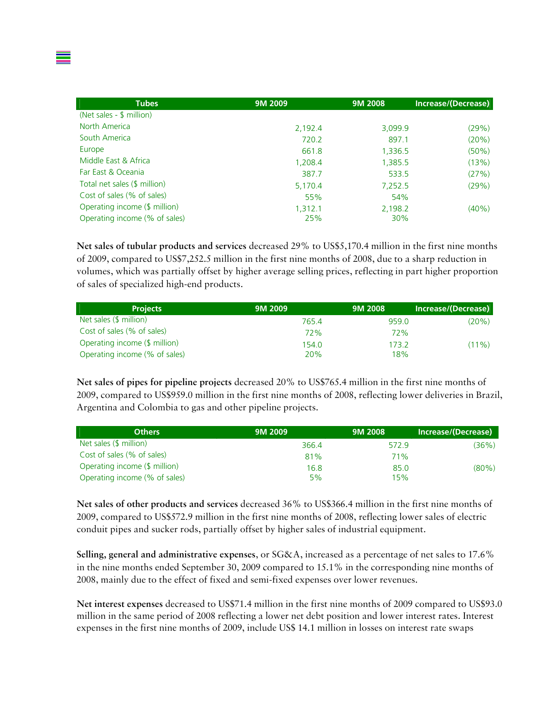| <b>Tubes</b>                  | 9M 2009 | 9M 2008 | Increase/(Decrease) |
|-------------------------------|---------|---------|---------------------|
| (Net sales - \$ million)      |         |         |                     |
| North America                 | 2,192.4 | 3,099.9 | (29%)               |
| South America                 | 720.2   | 897.1   | (20%)               |
| Europe                        | 661.8   | 1,336.5 | $(50\%)$            |
| Middle East & Africa          | 1,208.4 | 1,385.5 | (13%)               |
| Far East & Oceania            | 387.7   | 533.5   | (27%)               |
| Total net sales (\$ million)  | 5,170.4 | 7,252.5 | (29%)               |
| Cost of sales (% of sales)    | 55%     | 54%     |                     |
| Operating income (\$ million) | 1,312.1 | 2,198.2 | $(40\%)$            |
| Operating income (% of sales) | 25%     | 30%     |                     |

**Net sales of tubular products and services** decreased 29% to US\$5,170.4 million in the first nine months of 2009, compared to US\$7,252.5 million in the first nine months of 2008, due to a sharp reduction in volumes, which was partially offset by higher average selling prices, reflecting in part higher proportion of sales of specialized high-end products.

| <b>Projects</b>               | 9M 2009 | 9M 2008 | <b>Increase/(Decrease)</b> |
|-------------------------------|---------|---------|----------------------------|
| Net sales (\$ million)        | 765.4   | 959.0   | (20%)                      |
| Cost of sales (% of sales)    | 72%     | 72%     |                            |
| Operating income (\$ million) |         | 173.2   | $(11\%)$                   |
| Operating income (% of sales) | 20%     | 18%     |                            |

**Net sales of pipes for pipeline projects** decreased 20% to US\$765.4 million in the first nine months of 2009, compared to US\$959.0 million in the first nine months of 2008, reflecting lower deliveries in Brazil, Argentina and Colombia to gas and other pipeline projects.

| <b>Others</b>                 | 9M 2009 | 9M 2008 | Increase/(Decrease) |
|-------------------------------|---------|---------|---------------------|
| Net sales (\$ million)        | 366.4   | 572.9   | (36%)               |
| Cost of sales (% of sales)    | 81%     | 71%     |                     |
| Operating income (\$ million) | 16.8    | 85.0    | (80%)               |
| Operating income (% of sales) | 5%      | 15%     |                     |

**Net sales of other products and services** decreased 36% to US\$366.4 million in the first nine months of 2009, compared to US\$572.9 million in the first nine months of 2008, reflecting lower sales of electric conduit pipes and sucker rods, partially offset by higher sales of industrial equipment.

**Selling, general and administrative expenses**, or SG&A, increased as a percentage of net sales to 17.6% in the nine months ended September 30, 2009 compared to 15.1% in the corresponding nine months of 2008, mainly due to the effect of fixed and semi-fixed expenses over lower revenues.

**Net interest expenses** decreased to US\$71.4 million in the first nine months of 2009 compared to US\$93.0 million in the same period of 2008 reflecting a lower net debt position and lower interest rates. Interest expenses in the first nine months of 2009, include US\$ 14.1 million in losses on interest rate swaps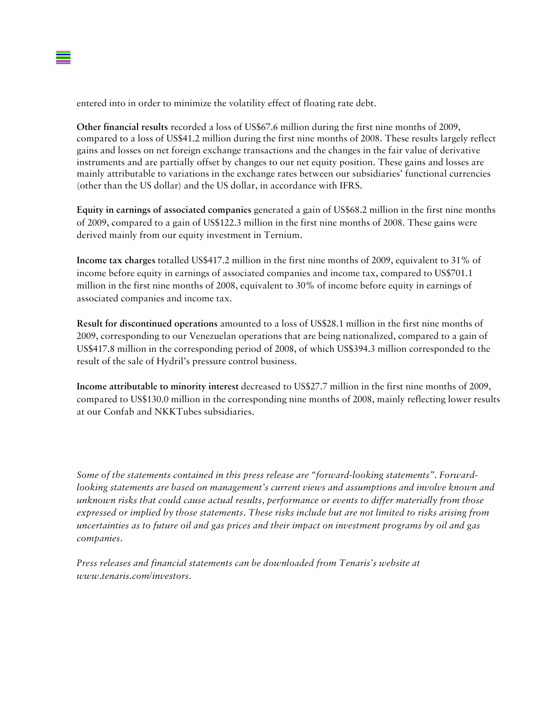entered into in order to minimize the volatility effect of floating rate debt.

**Other financial results** recorded a loss of US\$67.6 million during the first nine months of 2009, compared to a loss of US\$41.2 million during the first nine months of 2008. These results largely reflect gains and losses on net foreign exchange transactions and the changes in the fair value of derivative instruments and are partially offset by changes to our net equity position. These gains and losses are mainly attributable to variations in the exchange rates between our subsidiaries' functional currencies (other than the US dollar) and the US dollar, in accordance with IFRS.

**Equity in earnings of associated companies** generated a gain of US\$68.2 million in the first nine months of 2009, compared to a gain of US\$122.3 million in the first nine months of 2008. These gains were derived mainly from our equity investment in Ternium.

**Income tax charges** totalled US\$417.2 million in the first nine months of 2009, equivalent to 31% of income before equity in earnings of associated companies and income tax, compared to US\$701.1 million in the first nine months of 2008, equivalent to 30% of income before equity in earnings of associated companies and income tax.

**Result for discontinued operations** amounted to a loss of US\$28.1 million in the first nine months of 2009, corresponding to our Venezuelan operations that are being nationalized, compared to a gain of US\$417.8 million in the corresponding period of 2008, of which US\$394.3 million corresponded to the result of the sale of Hydril's pressure control business.

**Income attributable to minority interest** decreased to US\$27.7 million in the first nine months of 2009, compared to US\$130.0 million in the corresponding nine months of 2008, mainly reflecting lower results at our Confab and NKKTubes subsidiaries.

*Some of the statements contained in this press release are "forward-looking statements". Forwardlooking statements are based on management's current views and assumptions and involve known and unknown risks that could cause actual results, performance or events to differ materially from those expressed or implied by those statements. These risks include but are not limited to risks arising from uncertainties as to future oil and gas prices and their impact on investment programs by oil and gas companies.* 

*Press releases and financial statements can be downloaded from Tenaris's website at www.tenaris.com/investors.*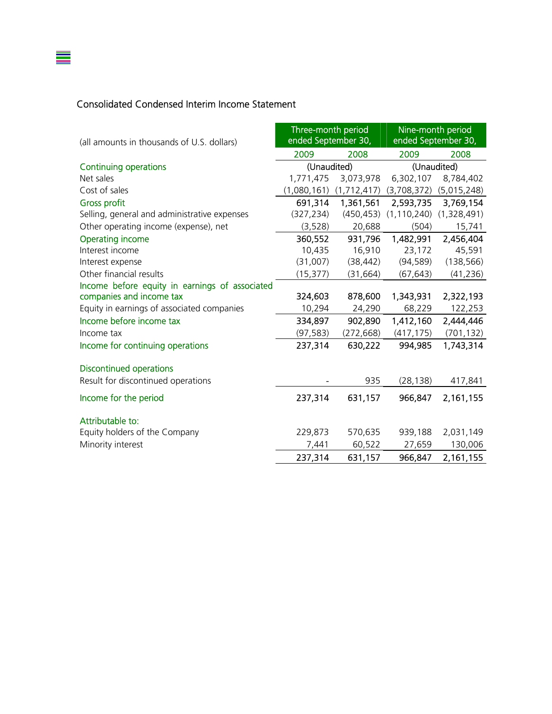### Consolidated Condensed Interim Income Statement

≣

| (all amounts in thousands of U.S. dollars)     | Three-month period<br>ended September 30, |               |               | Nine-month period<br>ended September 30, |  |
|------------------------------------------------|-------------------------------------------|---------------|---------------|------------------------------------------|--|
|                                                | 2009                                      | 2008          | 2009          | 2008                                     |  |
| <b>Continuing operations</b>                   | (Unaudited)                               |               |               | (Unaudited)                              |  |
| Net sales                                      | 1,771,475                                 | 3,073,978     | 6,302,107     | 8,784,402                                |  |
| Cost of sales                                  | (1,080,161)                               | (1, 712, 417) | (3,708,372)   | (5,015,248)                              |  |
| <b>Gross profit</b>                            | 691,314                                   | 1,361,561     | 2,593,735     | 3,769,154                                |  |
| Selling, general and administrative expenses   | (327, 234)                                | (450, 453)    | (1, 110, 240) | (1,328,491)                              |  |
| Other operating income (expense), net          | (3, 528)                                  | 20,688        | (504)         | 15,741                                   |  |
| <b>Operating income</b>                        | 360,552                                   | 931,796       | 1,482,991     | 2,456,404                                |  |
| Interest income                                | 10,435                                    | 16,910        | 23,172        | 45,591                                   |  |
| Interest expense                               | (31,007)                                  | (38, 442)     | (94, 589)     | (138, 566)                               |  |
| Other financial results                        | (15, 377)                                 | (31, 664)     | (67, 643)     | (41, 236)                                |  |
| Income before equity in earnings of associated |                                           |               |               |                                          |  |
| companies and income tax                       | 324,603                                   | 878,600       | 1,343,931     | 2,322,193                                |  |
| Equity in earnings of associated companies     | 10,294                                    | 24,290        | 68,229        | 122,253                                  |  |
| Income before income tax                       | 334,897                                   | 902,890       | 1,412,160     | 2,444,446                                |  |
| Income tax                                     | (97, 583)                                 | (272, 668)    | (417, 175)    | (701, 132)                               |  |
| Income for continuing operations               | 237,314                                   | 630,222       | 994,985       | 1,743,314                                |  |
| <b>Discontinued operations</b>                 |                                           |               |               |                                          |  |
| Result for discontinued operations             |                                           | 935           | (28, 138)     | 417,841                                  |  |
| Income for the period                          | 237,314                                   | 631,157       | 966,847       | 2,161,155                                |  |
| Attributable to:                               |                                           |               |               |                                          |  |
| Equity holders of the Company                  | 229,873                                   | 570,635       | 939,188       | 2,031,149                                |  |
| Minority interest                              | 7,441                                     | 60,522        | 27,659        | 130,006                                  |  |
|                                                | 237,314                                   | 631,157       | 966,847       | 2,161,155                                |  |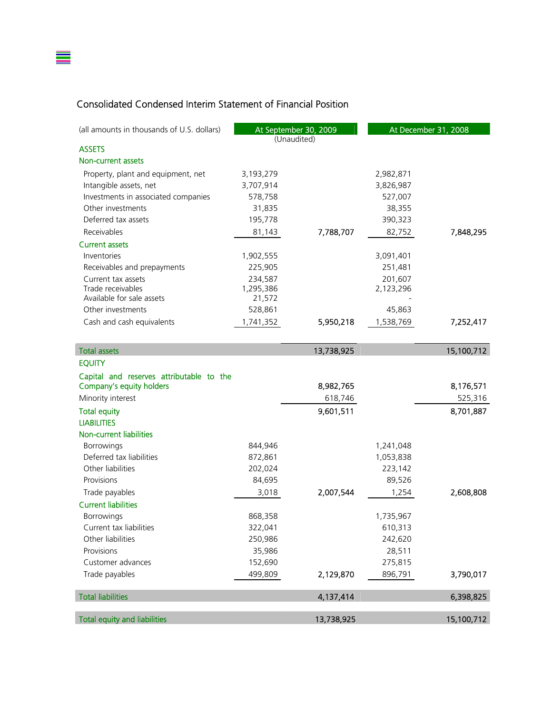## Consolidated Condensed Interim Statement of Financial Position

≣

| (all amounts in thousands of U.S. dollars) |           | At September 30, 2009 |           | At December 31, 2008 |
|--------------------------------------------|-----------|-----------------------|-----------|----------------------|
|                                            |           | (Unaudited)           |           |                      |
| <b>ASSETS</b>                              |           |                       |           |                      |
| Non-current assets                         |           |                       |           |                      |
| Property, plant and equipment, net         | 3,193,279 |                       | 2,982,871 |                      |
| Intangible assets, net                     | 3,707,914 |                       | 3,826,987 |                      |
| Investments in associated companies        | 578,758   |                       | 527,007   |                      |
| Other investments                          | 31,835    |                       | 38,355    |                      |
| Deferred tax assets                        | 195,778   |                       | 390,323   |                      |
| Receivables                                | 81,143    | 7,788,707             | 82,752    | 7,848,295            |
| <b>Current assets</b>                      |           |                       |           |                      |
| Inventories                                | 1,902,555 |                       | 3,091,401 |                      |
| Receivables and prepayments                | 225,905   |                       | 251,481   |                      |
| Current tax assets                         | 234,587   |                       | 201,607   |                      |
| Trade receivables                          | 1,295,386 |                       | 2,123,296 |                      |
| Available for sale assets                  | 21,572    |                       |           |                      |
| Other investments                          | 528,861   |                       | 45,863    |                      |
| Cash and cash equivalents                  | 1,741,352 | 5,950,218             | 1,538,769 | 7,252,417            |
|                                            |           |                       |           |                      |
| <b>Total assets</b>                        |           | 13,738,925            |           | 15,100,712           |
| <b>EQUITY</b>                              |           |                       |           |                      |
| Capital and reserves attributable to the   |           |                       |           |                      |
| Company's equity holders                   |           | 8,982,765             |           | 8,176,571            |
| Minority interest                          |           | 618,746               |           | 525,316              |
| <b>Total equity</b>                        |           | 9,601,511             |           | 8,701,887            |
| <b>LIABILITIES</b>                         |           |                       |           |                      |
| Non-current liabilities                    |           |                       |           |                      |
| Borrowings                                 | 844,946   |                       | 1,241,048 |                      |
| Deferred tax liabilities                   | 872,861   |                       | 1,053,838 |                      |
| Other liabilities                          | 202,024   |                       | 223,142   |                      |
| Provisions                                 | 84,695    |                       | 89,526    |                      |
| Trade payables                             | 3,018     | 2,007,544             | 1,254     | 2,608,808            |
| <b>Current liabilities</b>                 |           |                       |           |                      |
| Borrowings                                 | 868,358   |                       | 1,735,967 |                      |
| Current tax liabilities                    | 322,041   |                       | 610,313   |                      |
| Other liabilities                          | 250,986   |                       | 242,620   |                      |
| Provisions                                 | 35,986    |                       | 28,511    |                      |
| Customer advances                          | 152,690   |                       | 275,815   |                      |
| Trade payables                             | 499,809   | 2,129,870             | 896,791   | 3,790,017            |
|                                            |           |                       |           |                      |
| <b>Total liabilities</b>                   |           | 4,137,414             |           | 6,398,825            |
| <b>Total equity and liabilities</b>        |           | 13,738,925            |           | 15,100,712           |